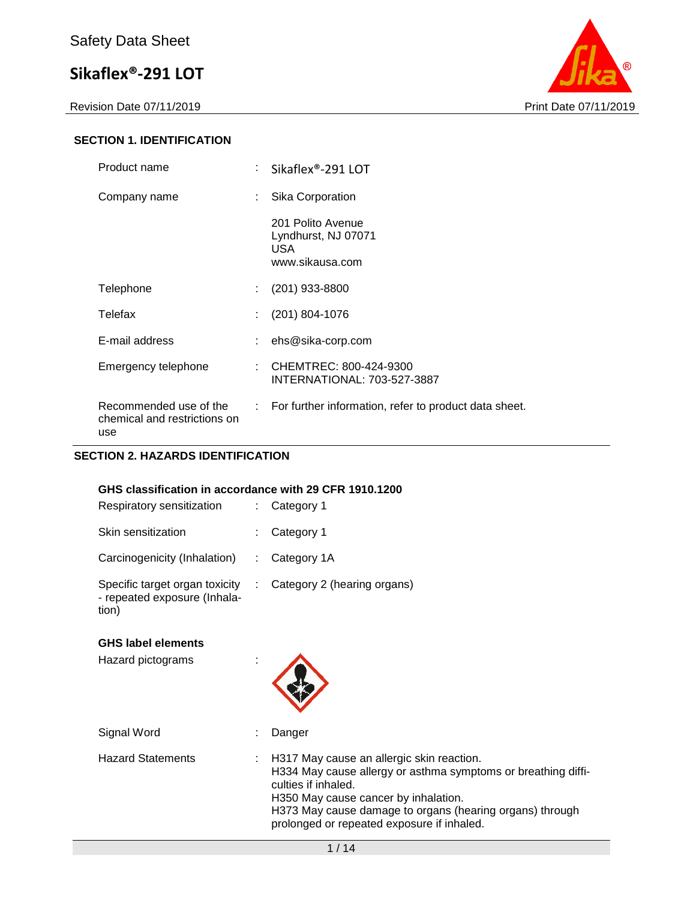Revision Date 07/11/2019 **Print Date 07/11/2019** 



#### **SECTION 1. IDENTIFICATION**

| Product name                                                  |    | Sikaflex <sup>®</sup> -291 LOT                                            |
|---------------------------------------------------------------|----|---------------------------------------------------------------------------|
| Company name                                                  | t. | Sika Corporation                                                          |
|                                                               |    | 201 Polito Avenue<br>Lyndhurst, NJ 07071<br><b>USA</b><br>www.sikausa.com |
| Telephone                                                     | t. | $(201)$ 933-8800                                                          |
| Telefax                                                       | t. | (201) 804-1076                                                            |
| E-mail address                                                |    | ehs@sika-corp.com                                                         |
| Emergency telephone                                           | ÷. | CHEMTREC: 800-424-9300<br>INTERNATIONAL: 703-527-3887                     |
| Recommended use of the<br>chemical and restrictions on<br>use |    | : For further information, refer to product data sheet.                   |

#### **SECTION 2. HAZARDS IDENTIFICATION**

#### **GHS classification in accordance with 29 CFR 1910.1200**

| Respiratory sensitization                                               | $\therefore$ Category 1       |
|-------------------------------------------------------------------------|-------------------------------|
| Skin sensitization                                                      | $:$ Category 1                |
| Carcinogenicity (Inhalation)                                            | $\therefore$ Category 1A      |
| Specific target organ toxicity<br>- repeated exposure (Inhala-<br>tion) | : Category 2 (hearing organs) |

#### **GHS label elements**

Hazard pictograms :



Signal Word : Danger Hazard Statements : H317 May cause an allergic skin reaction. H334 May cause allergy or asthma symptoms or breathing difficulties if inhaled. H350 May cause cancer by inhalation. H373 May cause damage to organs (hearing organs) through prolonged or repeated exposure if inhaled.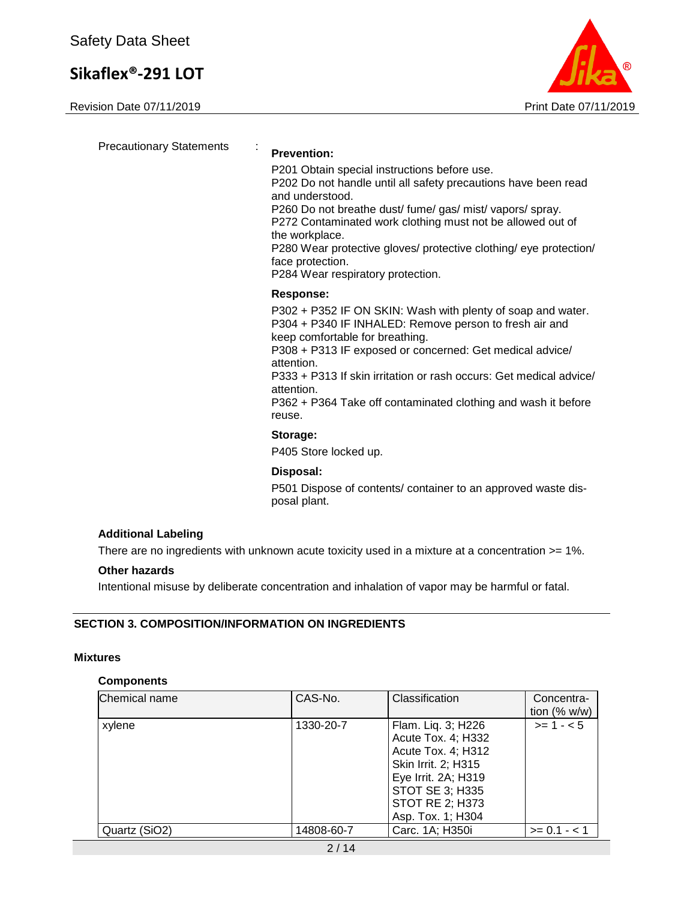Revision Date 07/11/2019 **Print Date 07/11/2019** 



Precautionary Statements : **Prevention:**  P201 Obtain special instructions before use. P202 Do not handle until all safety precautions have been read and understood. P260 Do not breathe dust/ fume/ gas/ mist/ vapors/ spray. P272 Contaminated work clothing must not be allowed out of the workplace. P280 Wear protective gloves/ protective clothing/ eye protection/ face protection. P284 Wear respiratory protection. **Response:**  P302 + P352 IF ON SKIN: Wash with plenty of soap and water. P304 + P340 IF INHALED: Remove person to fresh air and keep comfortable for breathing. P308 + P313 IF exposed or concerned: Get medical advice/ attention. P333 + P313 If skin irritation or rash occurs: Get medical advice/ attention. P362 + P364 Take off contaminated clothing and wash it before reuse. **Storage:**  P405 Store locked up. **Disposal:**  P501 Dispose of contents/ container to an approved waste dis-

#### **Additional Labeling**

There are no ingredients with unknown acute toxicity used in a mixture at a concentration  $>= 1\%$ .

#### **Other hazards**

Intentional misuse by deliberate concentration and inhalation of vapor may be harmful or fatal.

posal plant.

#### **SECTION 3. COMPOSITION/INFORMATION ON INGREDIENTS**

#### **Mixtures**

#### **Components**

| Chemical name | CAS-No.    | Classification                                                                                                                                                                        | Concentra-<br>tion $(% w/w)$ |
|---------------|------------|---------------------------------------------------------------------------------------------------------------------------------------------------------------------------------------|------------------------------|
| xylene        | 1330-20-7  | Flam. Liq. 3; H226<br>Acute Tox. 4; H332<br>Acute Tox. 4; H312<br>Skin Irrit. 2; H315<br>Eye Irrit. 2A; H319<br><b>STOT SE 3; H335</b><br><b>STOT RE 2; H373</b><br>Asp. Tox. 1; H304 | $>= 1 - 5$                   |
| Quartz (SiO2) | 14808-60-7 | Carc. 1A; H350i                                                                                                                                                                       | $>= 0.1 - 1.1$               |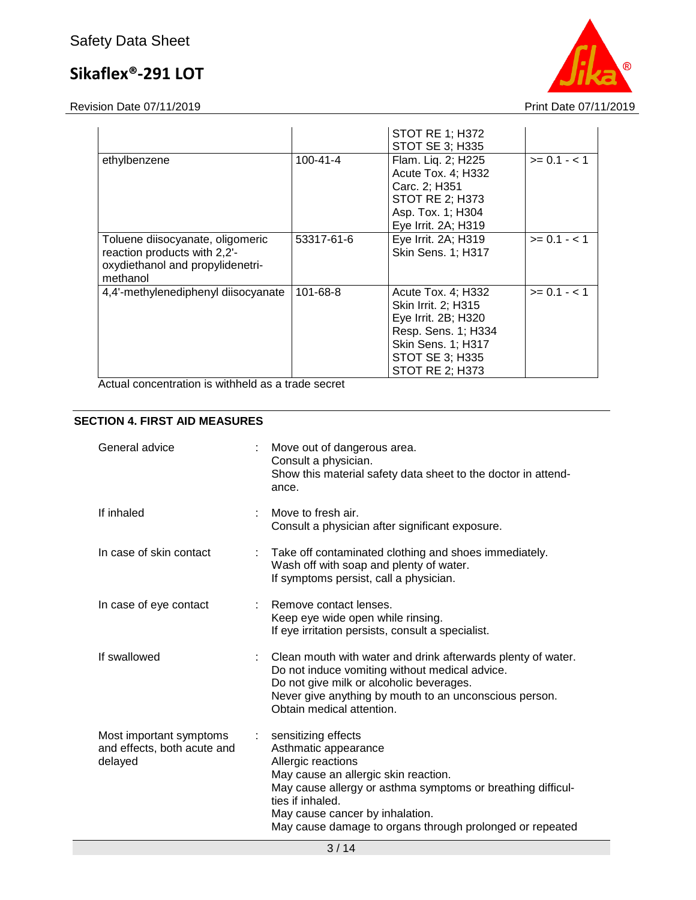Revision Date 07/11/2019 **Print Date 07/11/2019** 



|                                                                                                                  |                | <b>STOT RE 1; H372</b><br><b>STOT SE 3; H335</b>                                                                                                                  |                |
|------------------------------------------------------------------------------------------------------------------|----------------|-------------------------------------------------------------------------------------------------------------------------------------------------------------------|----------------|
| ethylbenzene                                                                                                     | $100 - 41 - 4$ | Flam. Liq. 2; H225<br>Acute Tox. 4; H332<br>Carc. 2; H351<br><b>STOT RE 2; H373</b><br>Asp. Tox. 1; H304<br>Eye Irrit. 2A; H319                                   | $>= 0.1 - 1.1$ |
| Toluene diisocyanate, oligomeric<br>reaction products with 2,2'-<br>oxydiethanol and propylidenetri-<br>methanol | 53317-61-6     | Eye Irrit. 2A; H319<br>Skin Sens. 1; H317                                                                                                                         | $>= 0.1 - 1.1$ |
| 4,4'-methylenediphenyl diisocyanate                                                                              | 101-68-8       | Acute Tox. 4; H332<br>Skin Irrit. 2; H315<br>Eye Irrit. 2B; H320<br>Resp. Sens. 1; H334<br><b>Skin Sens. 1; H317</b><br>STOT SE 3; H335<br><b>STOT RE 2: H373</b> | $>= 0.1 - < 1$ |

Actual concentration is withheld as a trade secret

#### **SECTION 4. FIRST AID MEASURES**

| General advice                                                    |                           | Move out of dangerous area.<br>Consult a physician.<br>Show this material safety data sheet to the doctor in attend-<br>ance.                                                                                                                                                               |
|-------------------------------------------------------------------|---------------------------|---------------------------------------------------------------------------------------------------------------------------------------------------------------------------------------------------------------------------------------------------------------------------------------------|
| If inhaled                                                        |                           | Move to fresh air.<br>Consult a physician after significant exposure.                                                                                                                                                                                                                       |
| In case of skin contact                                           |                           | Take off contaminated clothing and shoes immediately.<br>Wash off with soap and plenty of water.<br>If symptoms persist, call a physician.                                                                                                                                                  |
| In case of eye contact                                            |                           | Remove contact lenses.<br>Keep eye wide open while rinsing.<br>If eye irritation persists, consult a specialist.                                                                                                                                                                            |
| If swallowed                                                      |                           | Clean mouth with water and drink afterwards plenty of water.<br>Do not induce vomiting without medical advice.<br>Do not give milk or alcoholic beverages.<br>Never give anything by mouth to an unconscious person.<br>Obtain medical attention.                                           |
| Most important symptoms<br>and effects, both acute and<br>delayed | $\mathbb{Z}^{\mathbb{Z}}$ | sensitizing effects<br>Asthmatic appearance<br>Allergic reactions<br>May cause an allergic skin reaction.<br>May cause allergy or asthma symptoms or breathing difficul-<br>ties if inhaled.<br>May cause cancer by inhalation.<br>May cause damage to organs through prolonged or repeated |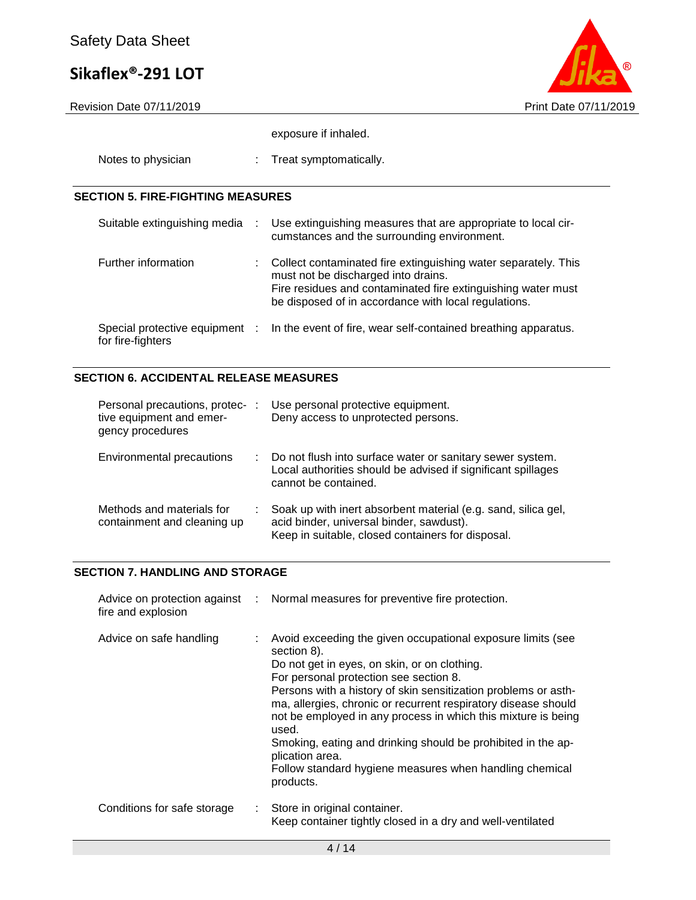

exposure if inhaled.

| Notes to physician |  | Treat symptomatically. |
|--------------------|--|------------------------|
|--------------------|--|------------------------|

#### **SECTION 5. FIRE-FIGHTING MEASURES**

| Suitable extinguishing media                        | $-1000$ | Use extinguishing measures that are appropriate to local cir-<br>cumstances and the surrounding environment.                                                                                                                  |
|-----------------------------------------------------|---------|-------------------------------------------------------------------------------------------------------------------------------------------------------------------------------------------------------------------------------|
| Further information                                 |         | Collect contaminated fire extinguishing water separately. This<br>must not be discharged into drains.<br>Fire residues and contaminated fire extinguishing water must<br>be disposed of in accordance with local regulations. |
| Special protective equipment :<br>for fire-fighters |         | In the event of fire, wear self-contained breathing apparatus.                                                                                                                                                                |

### **SECTION 6. ACCIDENTAL RELEASE MEASURES**

| Personal precautions, protec-<br>tive equipment and emer-<br>gency procedures | ÷ | Use personal protective equipment.<br>Deny access to unprotected persons.                                                                                      |
|-------------------------------------------------------------------------------|---|----------------------------------------------------------------------------------------------------------------------------------------------------------------|
| Environmental precautions                                                     |   | Do not flush into surface water or sanitary sewer system.<br>Local authorities should be advised if significant spillages<br>cannot be contained.              |
| Methods and materials for<br>containment and cleaning up                      |   | Soak up with inert absorbent material (e.g. sand, silica gel,<br>acid binder, universal binder, sawdust).<br>Keep in suitable, closed containers for disposal. |

#### **SECTION 7. HANDLING AND STORAGE**

| fire and explosion          |    | Advice on protection against : Normal measures for preventive fire protection.                                                                                                                                                                                                                                                                                                                                                                                                                                                                |
|-----------------------------|----|-----------------------------------------------------------------------------------------------------------------------------------------------------------------------------------------------------------------------------------------------------------------------------------------------------------------------------------------------------------------------------------------------------------------------------------------------------------------------------------------------------------------------------------------------|
| Advice on safe handling     |    | Avoid exceeding the given occupational exposure limits (see<br>section 8).<br>Do not get in eyes, on skin, or on clothing.<br>For personal protection see section 8.<br>Persons with a history of skin sensitization problems or asth-<br>ma, allergies, chronic or recurrent respiratory disease should<br>not be employed in any process in which this mixture is being<br>used.<br>Smoking, eating and drinking should be prohibited in the ap-<br>plication area.<br>Follow standard hygiene measures when handling chemical<br>products. |
| Conditions for safe storage | ÷. | Store in original container.<br>Keep container tightly closed in a dry and well-ventilated                                                                                                                                                                                                                                                                                                                                                                                                                                                    |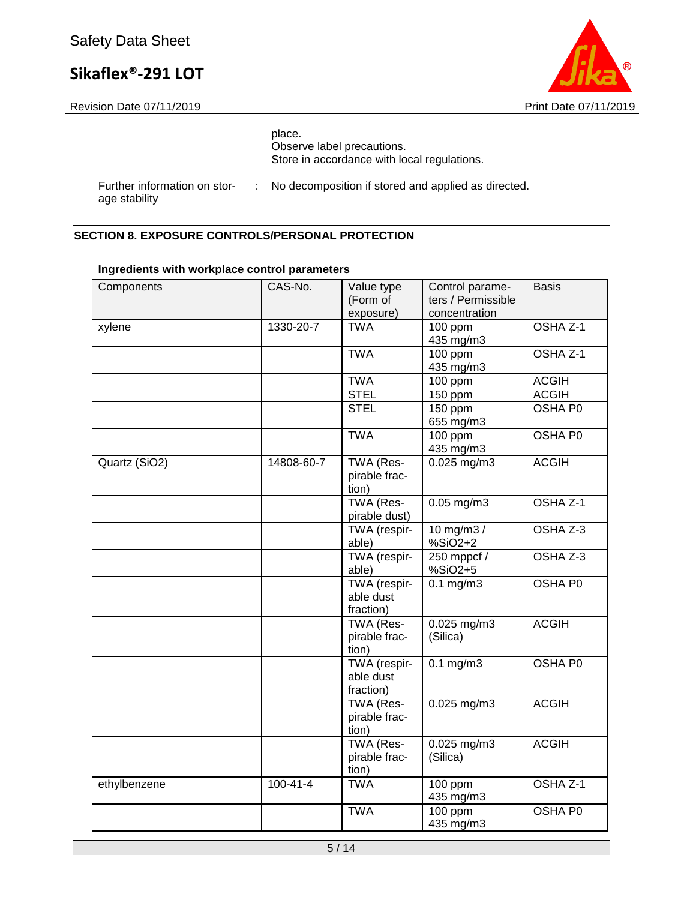

age stability



|                              |  | place.<br>Observe label precautions.<br>Store in accordance with local regulations. |
|------------------------------|--|-------------------------------------------------------------------------------------|
| Further information on stor- |  | : No decomposition if stored and applied as directed.                               |

#### **SECTION 8. EXPOSURE CONTROLS/PERSONAL PROTECTION**

| Components    | CAS-No.        | Value type<br>(Form of<br>exposure)    | Control parame-<br>ters / Permissible<br>concentration | <b>Basis</b>   |
|---------------|----------------|----------------------------------------|--------------------------------------------------------|----------------|
| xylene        | 1330-20-7      | <b>TWA</b>                             | 100 ppm<br>435 mg/m3                                   | OSHA Z-1       |
|               |                | <b>TWA</b>                             | $100$ ppm<br>435 mg/m3                                 | OSHA Z-1       |
|               |                | <b>TWA</b>                             | 100 ppm                                                | <b>ACGIH</b>   |
|               |                | <b>STEL</b>                            | 150 ppm                                                | <b>ACGIH</b>   |
|               |                | <b>STEL</b>                            | 150 ppm<br>655 mg/m3                                   | <b>OSHA P0</b> |
|               |                | <b>TWA</b>                             | $100$ ppm<br>435 mg/m3                                 | <b>OSHA P0</b> |
| Quartz (SiO2) | 14808-60-7     | TWA (Res-<br>pirable frac-<br>tion)    | $0.025$ mg/m3                                          | <b>ACGIH</b>   |
|               |                | TWA (Res-<br>pirable dust)             | $0.05$ mg/m $3$                                        | OSHA Z-1       |
|               |                | TWA (respir-<br>able)                  | 10 mg/m3 /<br>%SiO2+2                                  | OSHA Z-3       |
|               |                | TWA (respir-<br>able)                  | 250 mppcf /<br>%SiO2+5                                 | OSHA Z-3       |
|               |                | TWA (respir-<br>able dust<br>fraction) | $0.1$ mg/m $3$                                         | <b>OSHA P0</b> |
|               |                | TWA (Res-<br>pirable frac-<br>tion)    | $0.025$ mg/m3<br>(Silica)                              | <b>ACGIH</b>   |
|               |                | TWA (respir-<br>able dust<br>fraction) | $0.1$ mg/m $3$                                         | OSHA P0        |
|               |                | TWA (Res-<br>pirable frac-<br>tion)    | $0.025$ mg/m3                                          | <b>ACGIH</b>   |
|               |                | TWA (Res-<br>pirable frac-<br>tion)    | $0.025$ mg/m3<br>(Silica)                              | <b>ACGIH</b>   |
| ethylbenzene  | $100 - 41 - 4$ | <b>TWA</b>                             | 100 ppm<br>435 mg/m3                                   | OSHA Z-1       |
|               |                | <b>TWA</b>                             | 100 ppm<br>435 mg/m3                                   | OSHA P0        |

#### **Ingredients with workplace control parameters**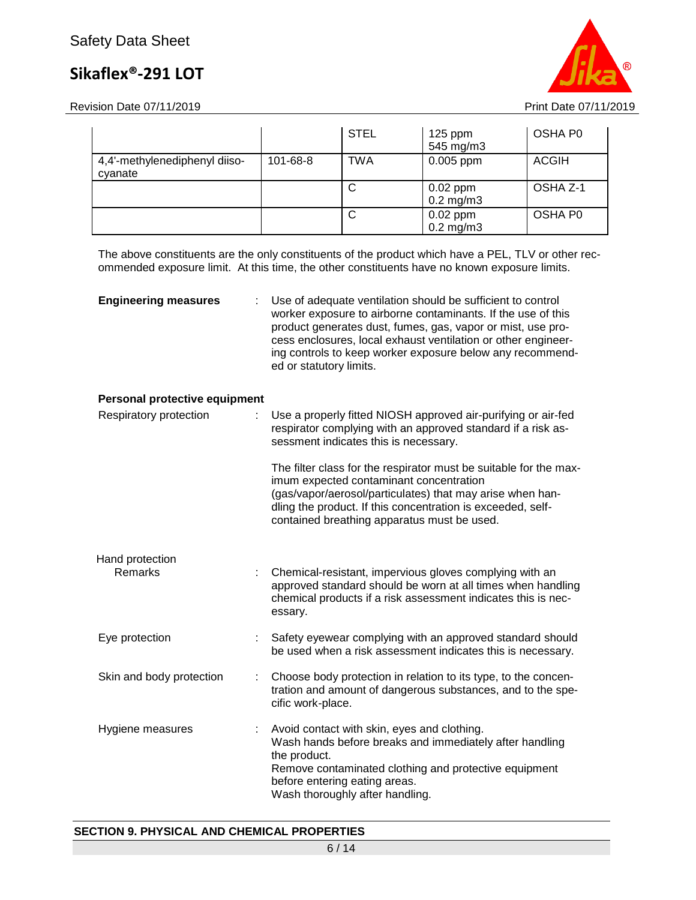Revision Date 07/11/2019 **Print Date 07/11/2019** 



|                                          |                | <b>STEL</b> | $125$ ppm<br>545 mg/m3       | OSHA P0      |
|------------------------------------------|----------------|-------------|------------------------------|--------------|
| 4,4'-methylenediphenyl diiso-<br>cyanate | $101 - 68 - 8$ | <b>TWA</b>  | $0.005$ ppm                  | <b>ACGIH</b> |
|                                          |                | C           | $0.02$ ppm<br>$0.2$ mg/m $3$ | OSHA Z-1     |
|                                          |                | C           | $0.02$ ppm<br>$0.2$ mg/m $3$ | OSHA P0      |

The above constituents are the only constituents of the product which have a PEL, TLV or other recommended exposure limit. At this time, the other constituents have no known exposure limits.

| <b>Engineering measures</b>   | Use of adequate ventilation should be sufficient to control<br>worker exposure to airborne contaminants. If the use of this<br>product generates dust, fumes, gas, vapor or mist, use pro-<br>cess enclosures, local exhaust ventilation or other engineer-<br>ing controls to keep worker exposure below any recommend-<br>ed or statutory limits. |
|-------------------------------|-----------------------------------------------------------------------------------------------------------------------------------------------------------------------------------------------------------------------------------------------------------------------------------------------------------------------------------------------------|
| Personal protective equipment |                                                                                                                                                                                                                                                                                                                                                     |
| Respiratory protection        | Use a properly fitted NIOSH approved air-purifying or air-fed<br>respirator complying with an approved standard if a risk as-<br>sessment indicates this is necessary.                                                                                                                                                                              |
|                               | The filter class for the respirator must be suitable for the max-<br>imum expected contaminant concentration<br>(gas/vapor/aerosol/particulates) that may arise when han-<br>dling the product. If this concentration is exceeded, self-<br>contained breathing apparatus must be used.                                                             |
| Hand protection               |                                                                                                                                                                                                                                                                                                                                                     |
| <b>Remarks</b>                | Chemical-resistant, impervious gloves complying with an<br>approved standard should be worn at all times when handling<br>chemical products if a risk assessment indicates this is nec-<br>essary.                                                                                                                                                  |
| Eye protection                | Safety eyewear complying with an approved standard should<br>be used when a risk assessment indicates this is necessary.                                                                                                                                                                                                                            |
| Skin and body protection      | Choose body protection in relation to its type, to the concen-<br>tration and amount of dangerous substances, and to the spe-<br>cific work-place.                                                                                                                                                                                                  |
| Hygiene measures              | Avoid contact with skin, eyes and clothing.<br>Wash hands before breaks and immediately after handling<br>the product                                                                                                                                                                                                                               |

the product. Remove contaminated clothing and protective equipment before entering eating areas. Wash thoroughly after handling.

#### **SECTION 9. PHYSICAL AND CHEMICAL PROPERTIES**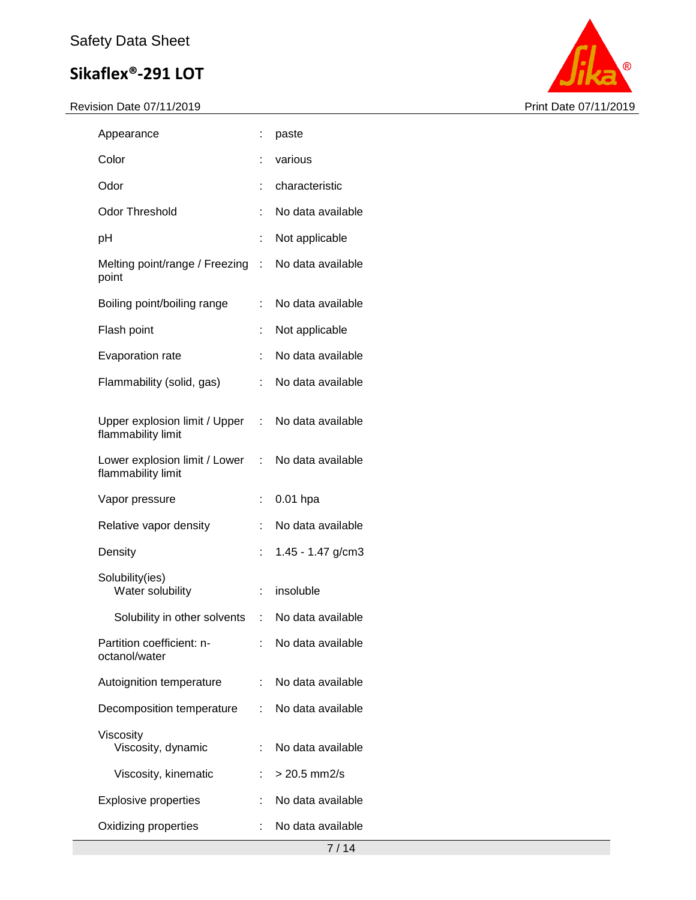

| Appearance                                          |     | paste               |
|-----------------------------------------------------|-----|---------------------|
| Color                                               |     | various             |
| Odor                                                |     | characteristic      |
| <b>Odor Threshold</b>                               | t   | No data available   |
| рH                                                  | t   | Not applicable      |
| Melting point/range / Freezing<br>point             | t.  | No data available   |
| Boiling point/boiling range                         | t.  | No data available   |
| Flash point                                         | t   | Not applicable      |
| Evaporation rate                                    | t   | No data available   |
| Flammability (solid, gas)                           | t   | No data available   |
| Upper explosion limit / Upper<br>flammability limit | t i | No data available   |
| Lower explosion limit / Lower<br>flammability limit | t.  | No data available   |
|                                                     |     |                     |
| Vapor pressure                                      | t.  | $0.01$ hpa          |
| Relative vapor density                              |     | No data available   |
| Density                                             |     | 1.45 - 1.47 g/cm3   |
| Solubility(ies)<br>Water solubility                 | t.  | insoluble           |
| Solubility in other solvents                        |     | : No data available |
| Partition coefficient: n-<br>octanol/water          |     | No data available   |
| Autoignition temperature                            |     | No data available   |
| Decomposition temperature                           | t.  | No data available   |
| Viscosity<br>Viscosity, dynamic                     | t.  | No data available   |
| Viscosity, kinematic                                |     | $> 20.5$ mm2/s      |
| <b>Explosive properties</b>                         |     | No data available   |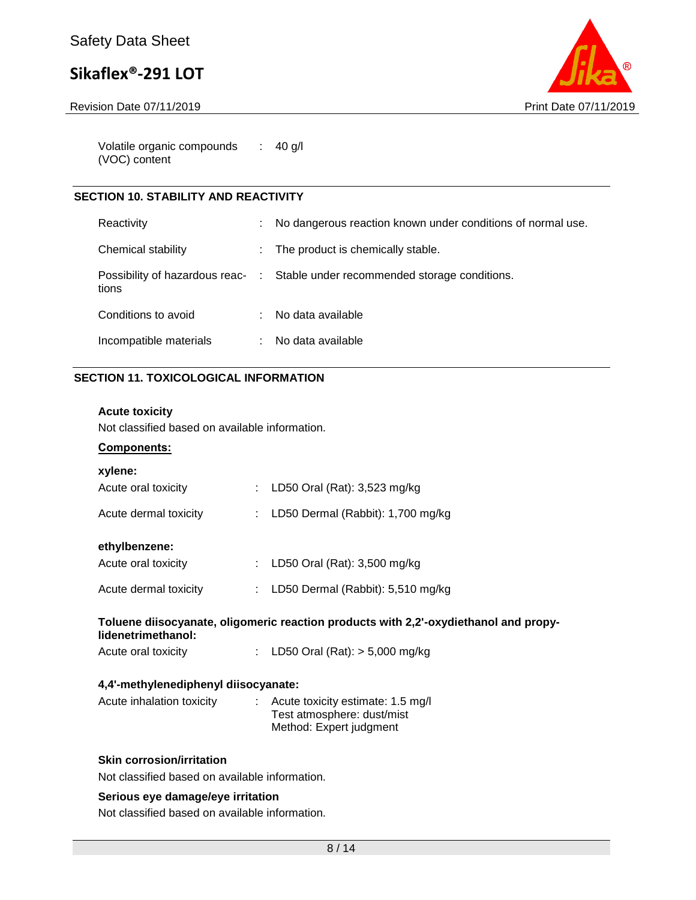Revision Date 07/11/2019 **Print Date 07/11/2019** 



Volatile organic compounds (VOC) content : 40 g/l

#### **SECTION 10. STABILITY AND REACTIVITY**

| Reactivity             | No dangerous reaction known under conditions of normal use.                   |
|------------------------|-------------------------------------------------------------------------------|
| Chemical stability     | The product is chemically stable.                                             |
| tions                  | Possibility of hazardous reac- : Stable under recommended storage conditions. |
| Conditions to avoid    | No data available                                                             |
| Incompatible materials | No data available                                                             |

#### **SECTION 11. TOXICOLOGICAL INFORMATION**

#### **Acute toxicity**

Not classified based on available information.

#### **Components:**

| xylene:                                                                                                    |  |                                                                                                         |  |
|------------------------------------------------------------------------------------------------------------|--|---------------------------------------------------------------------------------------------------------|--|
| Acute oral toxicity                                                                                        |  | : LD50 Oral (Rat): 3,523 mg/kg                                                                          |  |
| Acute dermal toxicity                                                                                      |  | : LD50 Dermal (Rabbit): $1,700$ mg/kg                                                                   |  |
| ethylbenzene:                                                                                              |  |                                                                                                         |  |
| Acute oral toxicity                                                                                        |  | : LD50 Oral (Rat): $3,500$ mg/kg                                                                        |  |
| Acute dermal toxicity                                                                                      |  | : LD50 Dermal (Rabbit): $5,510$ mg/kg                                                                   |  |
| Toluene diisocyanate, oligomeric reaction products with 2,2'-oxydiethanol and propy-<br>lidenetrimethanol: |  |                                                                                                         |  |
| Acute oral toxicity                                                                                        |  | : LD50 Oral (Rat): $>$ 5,000 mg/kg                                                                      |  |
| 4,4'-methylenediphenyl diisocyanate:                                                                       |  |                                                                                                         |  |
| Acute inhalation toxicity                                                                                  |  | $\therefore$ Acute toxicity estimate: 1.5 mg/l<br>Test atmosphere: dust/mist<br>Method: Expert judgment |  |
| <b>Skin corrosion/irritation</b>                                                                           |  |                                                                                                         |  |

Not classified based on available information.

#### **Serious eye damage/eye irritation**

Not classified based on available information.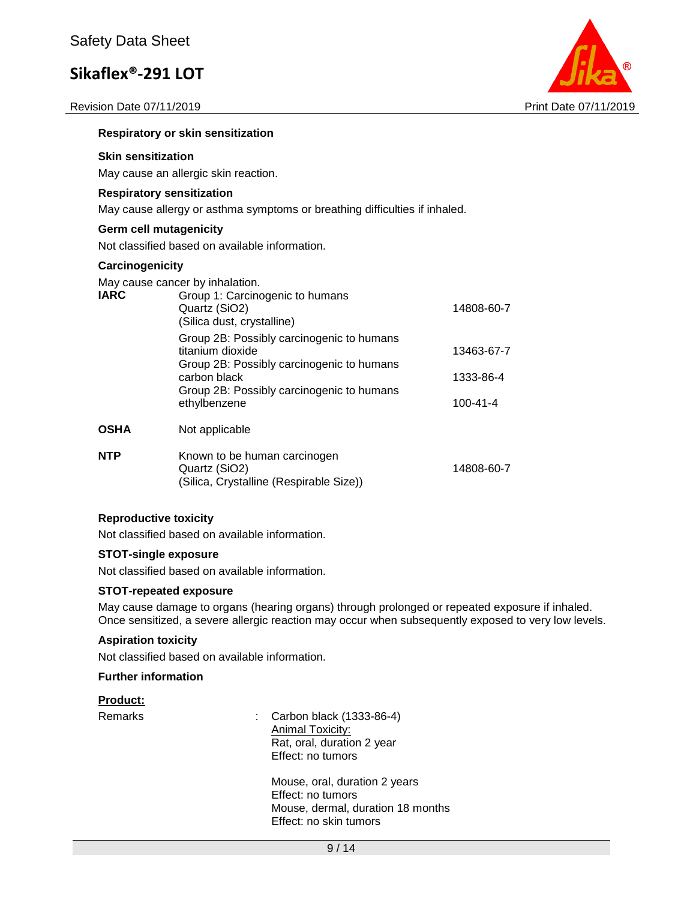Revision Date 07/11/2019 **Print Date 07/11/2019** 



#### **Respiratory or skin sensitization**

#### **Skin sensitization**

May cause an allergic skin reaction.

#### **Respiratory sensitization**

May cause allergy or asthma symptoms or breathing difficulties if inhaled.

#### **Germ cell mutagenicity**

Not classified based on available information.

#### **Carcinogenicity**

May cause cancer by inhalation.

| <b>IARC</b> | Group 1: Carcinogenic to humans<br>Quartz (SiO2)<br>(Silica dust, crystalline)                             | 14808-60-7     |  |  |
|-------------|------------------------------------------------------------------------------------------------------------|----------------|--|--|
|             | Group 2B: Possibly carcinogenic to humans<br>titanium dioxide<br>Group 2B: Possibly carcinogenic to humans | 13463-67-7     |  |  |
|             | carbon black<br>Group 2B: Possibly carcinogenic to humans<br>ethylbenzene                                  | 1333-86-4      |  |  |
|             |                                                                                                            | $100 - 41 - 4$ |  |  |
| <b>OSHA</b> | Not applicable                                                                                             |                |  |  |
| <b>NTP</b>  | Known to be human carcinogen<br>Quartz (SiO2)<br>(Silica, Crystalline (Respirable Size))                   | 14808-60-7     |  |  |

#### **Reproductive toxicity**

Not classified based on available information.

#### **STOT-single exposure**

Not classified based on available information.

#### **STOT-repeated exposure**

May cause damage to organs (hearing organs) through prolonged or repeated exposure if inhaled. Once sensitized, a severe allergic reaction may occur when subsequently exposed to very low levels.

#### **Aspiration toxicity**

Not classified based on available information.

#### **Further information**

#### **Product:**

Remarks : Carbon black (1333-86-4) Animal Toxicity: Rat, oral, duration 2 year Effect: no tumors

> Mouse, oral, duration 2 years Effect: no tumors Mouse, dermal, duration 18 months Effect: no skin tumors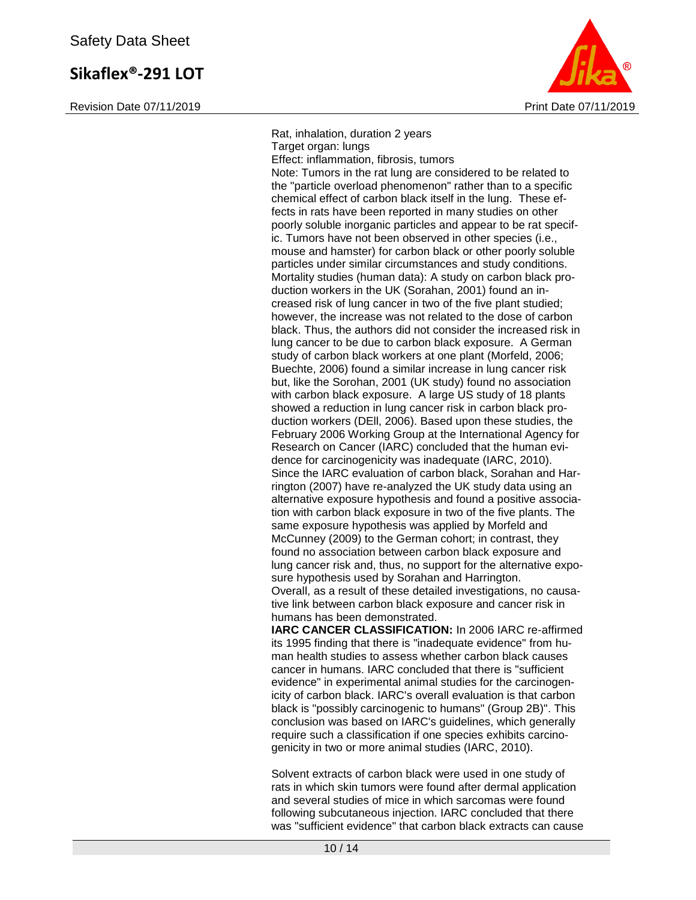Revision Date 07/11/2019 **Print Date 07/11/2019** Print Date 07/11/2019



Rat, inhalation, duration 2 years Target organ: lungs Effect: inflammation, fibrosis, tumors Note: Tumors in the rat lung are considered to be related to the "particle overload phenomenon" rather than to a specific chemical effect of carbon black itself in the lung. These effects in rats have been reported in many studies on other poorly soluble inorganic particles and appear to be rat specific. Tumors have not been observed in other species (i.e., mouse and hamster) for carbon black or other poorly soluble particles under similar circumstances and study conditions. Mortality studies (human data): A study on carbon black production workers in the UK (Sorahan, 2001) found an increased risk of lung cancer in two of the five plant studied; however, the increase was not related to the dose of carbon black. Thus, the authors did not consider the increased risk in lung cancer to be due to carbon black exposure. A German study of carbon black workers at one plant (Morfeld, 2006; Buechte, 2006) found a similar increase in lung cancer risk but, like the Sorohan, 2001 (UK study) found no association with carbon black exposure. A large US study of 18 plants showed a reduction in lung cancer risk in carbon black production workers (DEll, 2006). Based upon these studies, the February 2006 Working Group at the International Agency for Research on Cancer (IARC) concluded that the human evidence for carcinogenicity was inadequate (IARC, 2010). Since the IARC evaluation of carbon black, Sorahan and Harrington (2007) have re-analyzed the UK study data using an alternative exposure hypothesis and found a positive association with carbon black exposure in two of the five plants. The same exposure hypothesis was applied by Morfeld and McCunney (2009) to the German cohort; in contrast, they found no association between carbon black exposure and lung cancer risk and, thus, no support for the alternative exposure hypothesis used by Sorahan and Harrington. Overall, as a result of these detailed investigations, no causative link between carbon black exposure and cancer risk in humans has been demonstrated. **IARC CANCER CLASSIFICATION:** In 2006 IARC re-affirmed

its 1995 finding that there is "inadequate evidence" from human health studies to assess whether carbon black causes cancer in humans. IARC concluded that there is "sufficient evidence" in experimental animal studies for the carcinogenicity of carbon black. IARC's overall evaluation is that carbon black is "possibly carcinogenic to humans" (Group 2B)". This conclusion was based on IARC's guidelines, which generally require such a classification if one species exhibits carcinogenicity in two or more animal studies (IARC, 2010).

Solvent extracts of carbon black were used in one study of rats in which skin tumors were found after dermal application and several studies of mice in which sarcomas were found following subcutaneous injection. IARC concluded that there was "sufficient evidence" that carbon black extracts can cause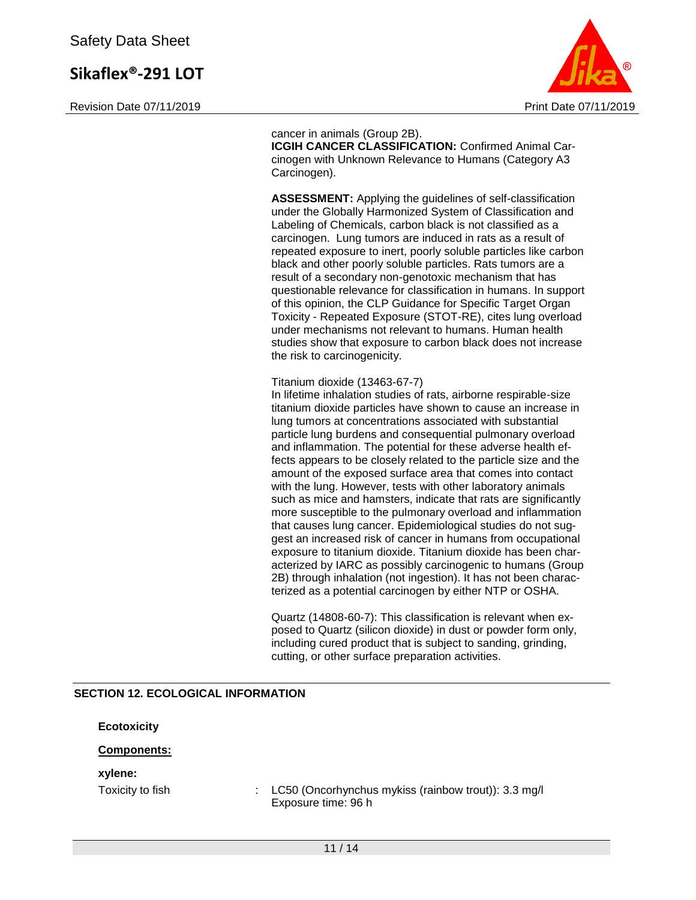Revision Date 07/11/2019 **Print Date 07/11/2019** Print Date 07/11/2019



cancer in animals (Group 2B). **ICGIH CANCER CLASSIFICATION:** Confirmed Animal Carcinogen with Unknown Relevance to Humans (Category A3 Carcinogen).

**ASSESSMENT:** Applying the guidelines of self-classification under the Globally Harmonized System of Classification and Labeling of Chemicals, carbon black is not classified as a carcinogen. Lung tumors are induced in rats as a result of repeated exposure to inert, poorly soluble particles like carbon black and other poorly soluble particles. Rats tumors are a result of a secondary non-genotoxic mechanism that has questionable relevance for classification in humans. In support of this opinion, the CLP Guidance for Specific Target Organ Toxicity - Repeated Exposure (STOT-RE), cites lung overload under mechanisms not relevant to humans. Human health studies show that exposure to carbon black does not increase the risk to carcinogenicity.

Titanium dioxide (13463-67-7)

In lifetime inhalation studies of rats, airborne respirable-size titanium dioxide particles have shown to cause an increase in lung tumors at concentrations associated with substantial particle lung burdens and consequential pulmonary overload and inflammation. The potential for these adverse health effects appears to be closely related to the particle size and the amount of the exposed surface area that comes into contact with the lung. However, tests with other laboratory animals such as mice and hamsters, indicate that rats are significantly more susceptible to the pulmonary overload and inflammation that causes lung cancer. Epidemiological studies do not suggest an increased risk of cancer in humans from occupational exposure to titanium dioxide. Titanium dioxide has been characterized by IARC as possibly carcinogenic to humans (Group 2B) through inhalation (not ingestion). It has not been characterized as a potential carcinogen by either NTP or OSHA.

Quartz (14808-60-7): This classification is relevant when exposed to Quartz (silicon dioxide) in dust or powder form only, including cured product that is subject to sanding, grinding, cutting, or other surface preparation activities.

#### **SECTION 12. ECOLOGICAL INFORMATION**

**Ecotoxicity**

#### **Components:**

#### **xylene:**

Toxicity to fish : LC50 (Oncorhynchus mykiss (rainbow trout)): 3.3 mg/l Exposure time: 96 h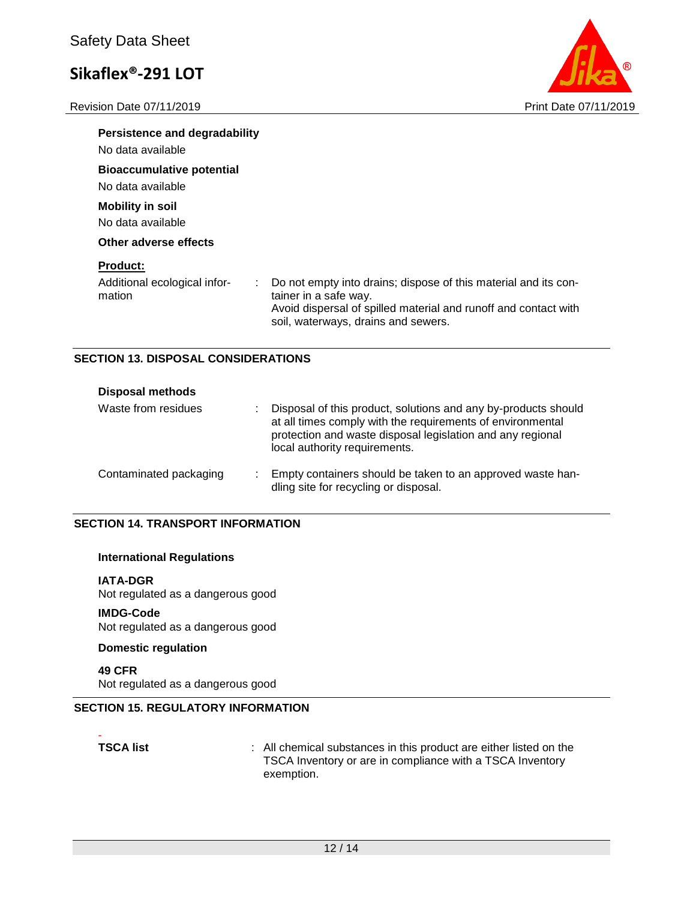Revision Date 07/11/2019 **Print Date 07/11/2019** 



| <b>Persistence and degradability</b><br>No data available |                                                                                                                                                                                                    |
|-----------------------------------------------------------|----------------------------------------------------------------------------------------------------------------------------------------------------------------------------------------------------|
| <b>Bioaccumulative potential</b><br>No data available     |                                                                                                                                                                                                    |
| <b>Mobility in soil</b><br>No data available              |                                                                                                                                                                                                    |
| Other adverse effects                                     |                                                                                                                                                                                                    |
| <b>Product:</b><br>Additional ecological infor-<br>mation | Do not empty into drains; dispose of this material and its con-<br>tainer in a safe way.<br>Avoid dispersal of spilled material and runoff and contact with<br>soil, waterways, drains and sewers. |

#### **SECTION 13. DISPOSAL CONSIDERATIONS**

| <b>Disposal methods</b> |                                                                                                                                                                                                                             |
|-------------------------|-----------------------------------------------------------------------------------------------------------------------------------------------------------------------------------------------------------------------------|
| Waste from residues     | Disposal of this product, solutions and any by-products should<br>at all times comply with the requirements of environmental<br>protection and waste disposal legislation and any regional<br>local authority requirements. |
| Contaminated packaging  | Empty containers should be taken to an approved waste han-<br>dling site for recycling or disposal.                                                                                                                         |

#### **SECTION 14. TRANSPORT INFORMATION**

#### **International Regulations**

#### **IATA-DGR**

Not regulated as a dangerous good

#### **IMDG-Code**

Not regulated as a dangerous good

#### **Domestic regulation**

**49 CFR** Not regulated as a dangerous good

### **SECTION 15. REGULATORY INFORMATION**

# -

**TSCA list** : All chemical substances in this product are either listed on the TSCA Inventory or are in compliance with a TSCA Inventory exemption.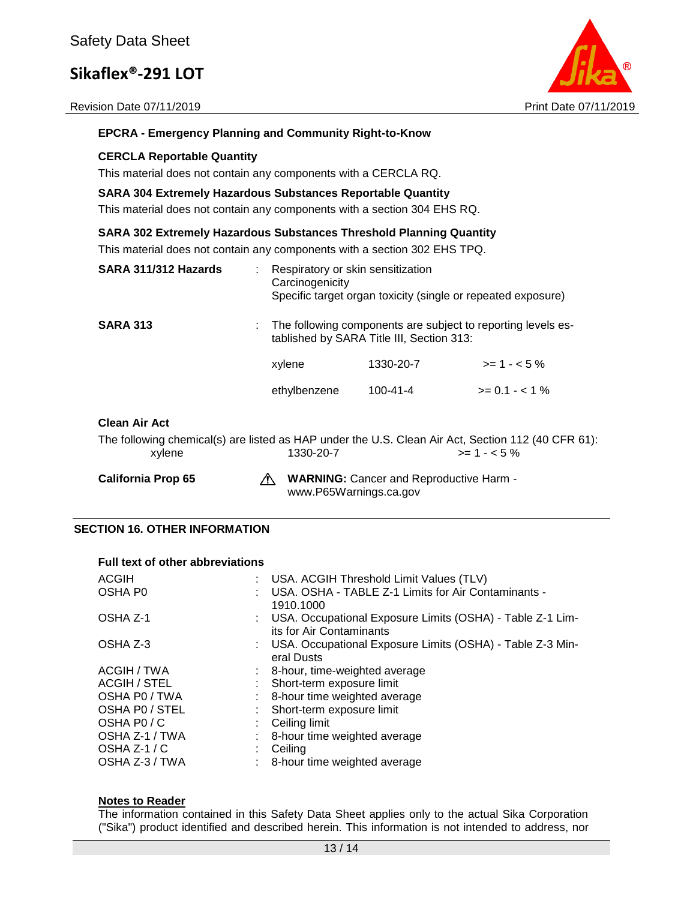Revision Date 07/11/2019 **Print Date 07/11/2019** Print Date 07/11/2019



#### **EPCRA - Emergency Planning and Community Right-to-Know**

#### **CERCLA Reportable Quantity**

This material does not contain any components with a CERCLA RQ.

#### **SARA 304 Extremely Hazardous Substances Reportable Quantity**

This material does not contain any components with a section 304 EHS RQ.

#### **SARA 302 Extremely Hazardous Substances Threshold Planning Quantity**

This material does not contain any components with a section 302 EHS TPQ.

| SARA 311/312 Hazards | Respiratory or skin sensitization<br>Carcinogenicity | Specific target organ toxicity (single or repeated exposure)                                              |                |
|----------------------|------------------------------------------------------|-----------------------------------------------------------------------------------------------------------|----------------|
| <b>SARA 313</b>      |                                                      | The following components are subject to reporting levels es-<br>tablished by SARA Title III, Section 313: |                |
|                      | xylene                                               | 1330-20-7                                                                                                 | $>= 1 - 5%$    |
|                      | ethylbenzene                                         | $100 - 41 - 4$                                                                                            | $>= 0.1 - 1\%$ |
|                      |                                                      |                                                                                                           |                |

#### **Clean Air Act**

The following chemical(s) are listed as HAP under the U.S. Clean Air Act, Section 112 (40 CFR 61):  $x$ ylene 1330-20-7  $\rightarrow$  1330-20-7

California Prop 65 **WARNING:** Cancer and Reproductive Harm www.P65Warnings.ca.gov

#### **SECTION 16. OTHER INFORMATION**

#### **Full text of other abbreviations**

| ACGIH<br><b>OSHAP0</b> | : USA. ACGIH Threshold Limit Values (TLV)<br>: USA, OSHA - TABLE Z-1 Limits for Air Contaminants -<br>1910.1000 |
|------------------------|-----------------------------------------------------------------------------------------------------------------|
| OSHA Z-1               | : USA. Occupational Exposure Limits (OSHA) - Table Z-1 Lim-<br>its for Air Contaminants                         |
| OSHA Z-3               | : USA. Occupational Exposure Limits (OSHA) - Table Z-3 Min-<br>eral Dusts                                       |
| ACGIH / TWA            | : 8-hour, time-weighted average                                                                                 |
| <b>ACGIH / STEL</b>    | : Short-term exposure limit                                                                                     |
| OSHA P0 / TWA          | : 8-hour time weighted average                                                                                  |
| OSHA PO / STEL         | : Short-term exposure limit                                                                                     |
| OSHA PO/C              | $\therefore$ Ceiling limit                                                                                      |
| OSHA Z-1 / TWA         | : 8-hour time weighted average                                                                                  |
| OSHA $Z-1/C$           | Ceiling                                                                                                         |
| OSHA Z-3 / TWA         | : 8-hour time weighted average                                                                                  |

#### **Notes to Reader**

The information contained in this Safety Data Sheet applies only to the actual Sika Corporation ("Sika") product identified and described herein. This information is not intended to address, nor